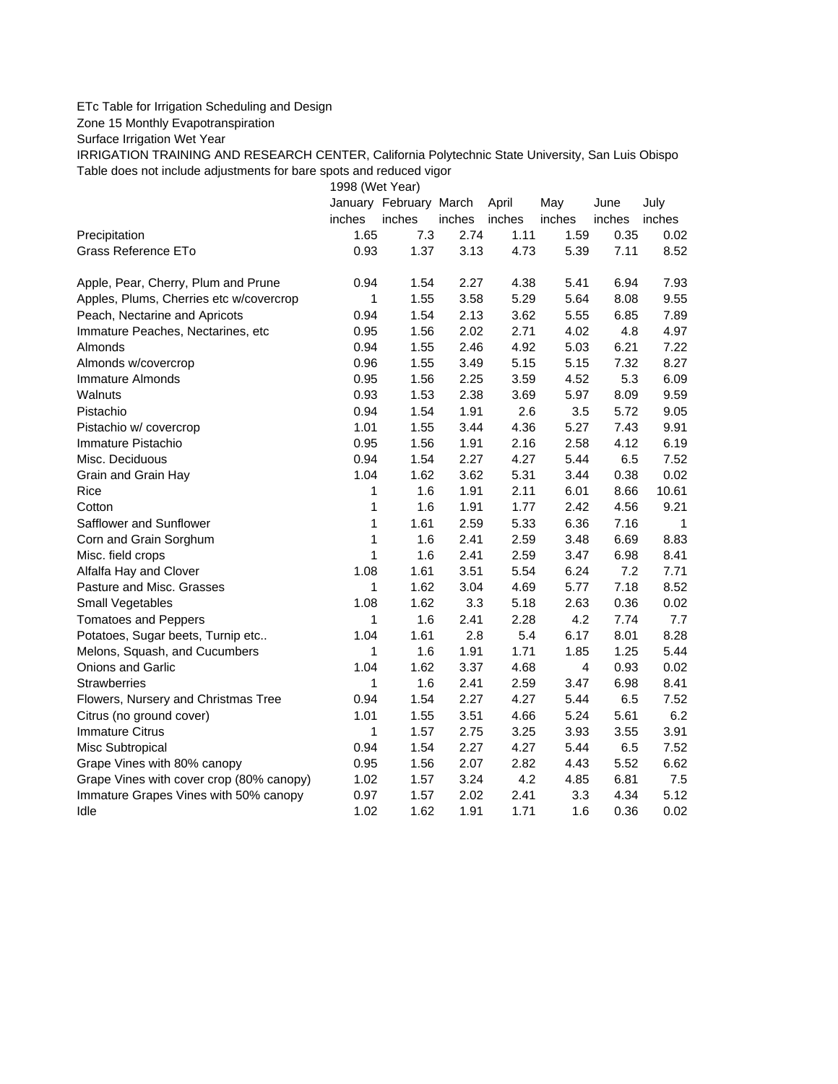## ETc Table for Irrigation Scheduling and Design

Zone 15 Monthly Evapotranspiration

Surface Irrigation Wet Year

IRRIGATION TRAINING AND RESEARCH CENTER, California Polytechnic State University, San Luis Obispo Table does not include adjustments for bare spots and reduced vigor

1998 (Wet Year)

|                                          |        | January February March |        | April  | May            | June   | July   |
|------------------------------------------|--------|------------------------|--------|--------|----------------|--------|--------|
|                                          | inches | inches                 | inches | inches | inches         | inches | inches |
| Precipitation                            | 1.65   | 7.3                    | 2.74   | 1.11   | 1.59           | 0.35   | 0.02   |
| Grass Reference ETo                      | 0.93   | 1.37                   | 3.13   | 4.73   | 5.39           | 7.11   | 8.52   |
| Apple, Pear, Cherry, Plum and Prune      | 0.94   | 1.54                   | 2.27   | 4.38   | 5.41           | 6.94   | 7.93   |
| Apples, Plums, Cherries etc w/covercrop  | 1      | 1.55                   | 3.58   | 5.29   | 5.64           | 8.08   | 9.55   |
| Peach, Nectarine and Apricots            | 0.94   | 1.54                   | 2.13   | 3.62   | 5.55           | 6.85   | 7.89   |
| Immature Peaches, Nectarines, etc        | 0.95   | 1.56                   | 2.02   | 2.71   | 4.02           | 4.8    | 4.97   |
| Almonds                                  | 0.94   | 1.55                   | 2.46   | 4.92   | 5.03           | 6.21   | 7.22   |
| Almonds w/covercrop                      | 0.96   | 1.55                   | 3.49   | 5.15   | 5.15           | 7.32   | 8.27   |
| Immature Almonds                         | 0.95   | 1.56                   | 2.25   | 3.59   | 4.52           | 5.3    | 6.09   |
| Walnuts                                  | 0.93   | 1.53                   | 2.38   | 3.69   | 5.97           | 8.09   | 9.59   |
| Pistachio                                | 0.94   | 1.54                   | 1.91   | 2.6    | 3.5            | 5.72   | 9.05   |
| Pistachio w/ covercrop                   | 1.01   | 1.55                   | 3.44   | 4.36   | 5.27           | 7.43   | 9.91   |
| Immature Pistachio                       | 0.95   | 1.56                   | 1.91   | 2.16   | 2.58           | 4.12   | 6.19   |
| Misc. Deciduous                          | 0.94   | 1.54                   | 2.27   | 4.27   | 5.44           | 6.5    | 7.52   |
| Grain and Grain Hay                      | 1.04   | 1.62                   | 3.62   | 5.31   | 3.44           | 0.38   | 0.02   |
| Rice                                     | 1      | 1.6                    | 1.91   | 2.11   | 6.01           | 8.66   | 10.61  |
| Cotton                                   | 1      | 1.6                    | 1.91   | 1.77   | 2.42           | 4.56   | 9.21   |
| Safflower and Sunflower                  | 1      | 1.61                   | 2.59   | 5.33   | 6.36           | 7.16   | 1      |
| Corn and Grain Sorghum                   | 1      | 1.6                    | 2.41   | 2.59   | 3.48           | 6.69   | 8.83   |
| Misc. field crops                        | 1      | 1.6                    | 2.41   | 2.59   | 3.47           | 6.98   | 8.41   |
| Alfalfa Hay and Clover                   | 1.08   | 1.61                   | 3.51   | 5.54   | 6.24           | 7.2    | 7.71   |
| Pasture and Misc. Grasses                | 1      | 1.62                   | 3.04   | 4.69   | 5.77           | 7.18   | 8.52   |
| Small Vegetables                         | 1.08   | 1.62                   | 3.3    | 5.18   | 2.63           | 0.36   | 0.02   |
| <b>Tomatoes and Peppers</b>              | 1      | 1.6                    | 2.41   | 2.28   | 4.2            | 7.74   | 7.7    |
| Potatoes, Sugar beets, Turnip etc        | 1.04   | 1.61                   | 2.8    | 5.4    | 6.17           | 8.01   | 8.28   |
| Melons, Squash, and Cucumbers            | 1      | 1.6                    | 1.91   | 1.71   | 1.85           | 1.25   | 5.44   |
| <b>Onions and Garlic</b>                 | 1.04   | 1.62                   | 3.37   | 4.68   | $\overline{4}$ | 0.93   | 0.02   |
| <b>Strawberries</b>                      | 1      | 1.6                    | 2.41   | 2.59   | 3.47           | 6.98   | 8.41   |
| Flowers, Nursery and Christmas Tree      | 0.94   | 1.54                   | 2.27   | 4.27   | 5.44           | 6.5    | 7.52   |
| Citrus (no ground cover)                 | 1.01   | 1.55                   | 3.51   | 4.66   | 5.24           | 5.61   | 6.2    |
| <b>Immature Citrus</b>                   | 1      | 1.57                   | 2.75   | 3.25   | 3.93           | 3.55   | 3.91   |
| Misc Subtropical                         | 0.94   | 1.54                   | 2.27   | 4.27   | 5.44           | 6.5    | 7.52   |
| Grape Vines with 80% canopy              | 0.95   | 1.56                   | 2.07   | 2.82   | 4.43           | 5.52   | 6.62   |
| Grape Vines with cover crop (80% canopy) | 1.02   | 1.57                   | 3.24   | 4.2    | 4.85           | 6.81   | 7.5    |
| Immature Grapes Vines with 50% canopy    | 0.97   | 1.57                   | 2.02   | 2.41   | 3.3            | 4.34   | 5.12   |
| Idle                                     | 1.02   | 1.62                   | 1.91   | 1.71   | 1.6            | 0.36   | 0.02   |